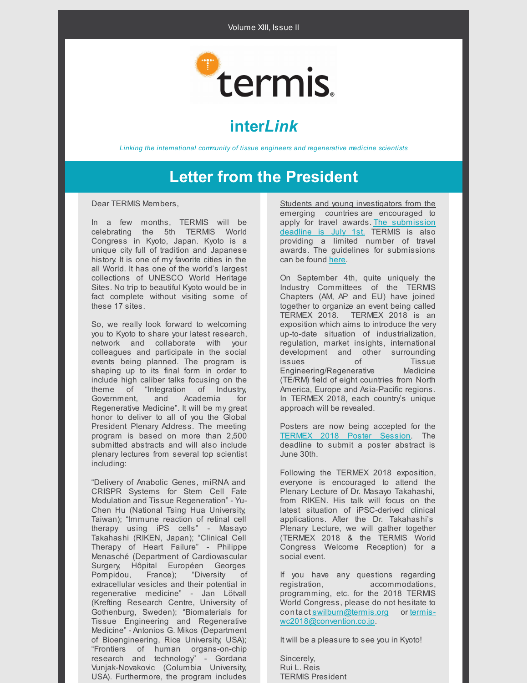

# **inter***Link*

*Linking the international community of tissue engineers and regenerative medicine scientists*

## **Letter from the President**

Dear TERMIS Members,

In a few months, TERMIS will be celebrating the 5th TERMIS World Congress in Kyoto, Japan. Kyoto is a unique city full of tradition and Japanese history. It is one of my favorite cities in the all World. It has one of the world's largest collections of UNESCO World Heritage Sites. No trip to beautiful Kyoto would be in fact complete without visiting some of these 17 sites.

So, we really look forward to welcoming you to Kyoto to share your latest research, network and collaborate with your colleagues and participate in the social events being planned. The program is shaping up to its final form in order to include high caliber talks focusing on the theme of "Integration of Industry, Government, and Academia for Regenerative Medicine". It will be my great honor to deliver to all of you the Global President Plenary Address. The meeting program is based on more than 2,500 submitted abstracts and will also include plenary lectures from several top scientist including:

"Delivery of Anabolic Genes, miRNA and CRISPR Systems for Stem Cell Fate Modulation and Tissue Regeneration" - Yu-Chen Hu (National Tsing Hua University, Taiwan); "Immune reaction of retinal cell therapy using iPS cells" - Masayo Takahashi (RIKEN, Japan); "Clinical Cell Therapy of Heart Failure" - Philippe Menasché (Department of Cardiovascular Surgery, Hôpital Européen Georges Pompidou, France); "Diversity of extracellular vesicles and their potential in regenerative medicine" - Jan Lötvall (Krefting Research Centre, University of Gothenburg, Sweden); "Biomaterials for Tissue Engineering and Regenerative Medicine" - Antonios G. Mikos (Department of Bioengineering, Rice University, USA); "Frontiers of human organs-on-chip research and technology" - Gordana Vunjak-Novakovic (Columbia University, USA). Furthermore, the program includes

Students and young investigators from the emerging countries are encouraged to apply for travel awards. The [submission](https://termis.org/wc2018/syis-travel-awards.php) deadline is July 1st. TERMIS is also providing a limited number of travel awards. The guidelines for submissions can be found [here](https://termis.org/wc2018/travel-awards.php).

On September 4th, quite uniquely the Industry Committees of the TERMIS Chapters (AM, AP and EU) have joined together to organize an event being called TERMEX 2018. TERMEX 2018 is an exposition which aims to introduce the very up-to-date situation of industrialization, regulation, market insights, international development and other surrounding issues of Tissue Engineering/Regenerative Medicine (TE/RM) field of eight countries from North America, Europe and Asia-Pacific regions. In TERMEX 2018, each country's unique approach will be revealed.

Posters are now being accepted for the [TERMEX](https://termis.org/wc2018/TERMEX2018.php) 2018 Poster Session. The deadline to submit a poster abstract is June 30th.

Following the TERMEX 2018 exposition, everyone is encouraged to attend the Plenary Lecture of Dr. Masayo Takahashi, from RIKEN. His talk will focus on the latest situation of iPSC-derived clinical applications. After the Dr. Takahashi's Plenary Lecture, we will gather together (TERMEX 2018 & the TERMIS World Congress Welcome Reception) for a social event.

If you have any questions regarding registration, accommodations, programming, etc. for the 2018 TERMIS World Congress, please do not hesitate to contact [swilburn@termis.org](mailto:swilburn@termis.org) or termis[wc2018@convention.co.jp.](mailto:termis-wc2018@convention.co.jp)

It will be a pleasure to see you in Kyoto!

Sincerely, Rui L. Reis TERMIS President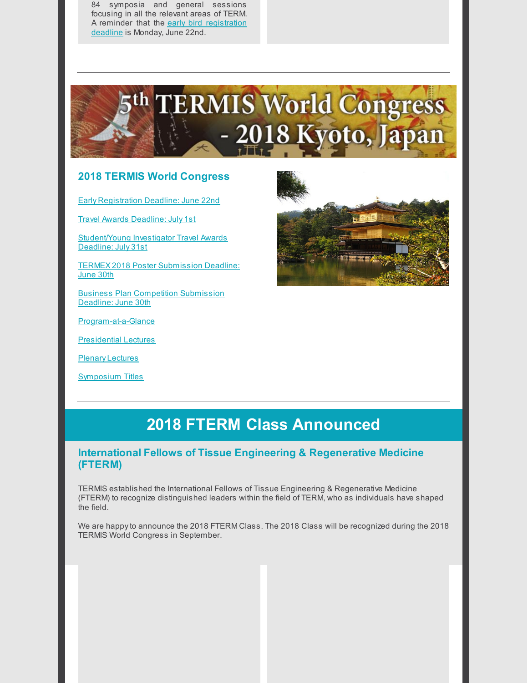84 symposia and general sessions focusing in all the relevant areas of TERM. A reminder that the early bird [registration](https://termis.org/wc2018/registration.php) deadline is Monday, June 22nd.



### **2018 TERMIS World Congress**

Early [Registration](https://termis.org/wc2018/registration.php) Deadline: June 22nd

Travel Awards [Deadline:](https://termis.org/wc2018/travel-awards.php) July 1st

[Student/Young](https://termis.org/wc2018/syis-travel-awards.php) Investigator Travel Awards Deadline: July 31st

TERMEX 2018 Poster [Submission](https://termis.org/wc2018/TERMEX2018.php) Deadline: June 30th

Business Plan [Competition](http://termisbpc.org/apply/) Submission Deadline: June 30th

[Program-at-a-Glance](https://termis.org/wc2018/docs/Program-at-a-glance-042318.pdf)

[Presidential](https://termis.org/wc2018/presidential-lectures.php) Lectures

Plenary [Lectures](https://termis.org/wc2018/plenary-lectures.php)

[Symposium](https://termis.org/wc2018/symposia-titles.php) Titles



## **2018 FTERM Class Announced**

### **International Fellows of Tissue Engineering & Regenerative Medicine (FTERM)**

TERMIS established the International Fellows of Tissue Engineering & Regenerative Medicine (FTERM) to recognize distinguished leaders within the field of TERM, who as individuals have shaped the field.

We are happyto announce the 2018 FTERM Class. The 2018 Class will be recognized during the 2018 TERMIS World Congress in September.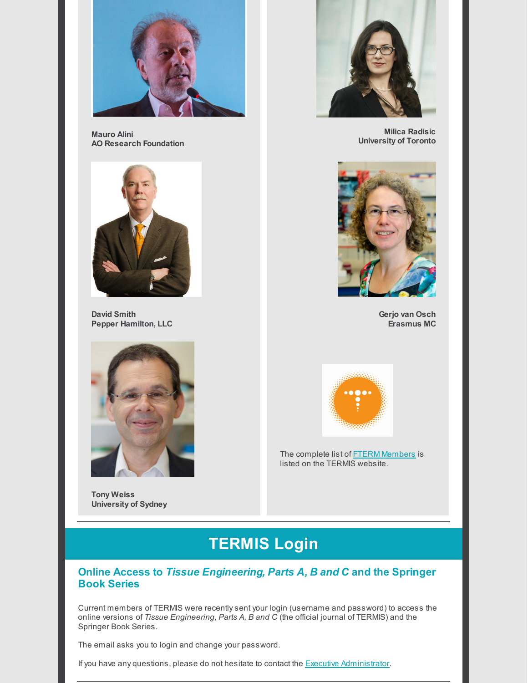

**Mauro Alini AO Research Foundation**



**David Smith Pepper Hamilton, LLC**



**Tony Weiss University of Sydney**



**Milica Radisic University of Toronto**



**Gerjo van Osch Erasmus MC**



The complete list of **FTERM [Members](https://www.termis.org/international-fellows-tissue-engineering-and-regenerative-medicine-fterm)** is listed on the TERMIS website.

# **TERMIS Login**

### **Online Access to** *Tissue Engineering, Parts A, B and C* **and the Springer Book Series**

Current members of TERMIS were recentlysent your login (username and password) to access the online versions of *Tissue Engineering, Parts A, B and C* (the official journal of TERMIS) and the Springer Book Series.

The email asks you to login and change your password.

If you have any questions, please do not hesitate to contact the **Executive [Administrator](mailto:swilburn@termis.org)**.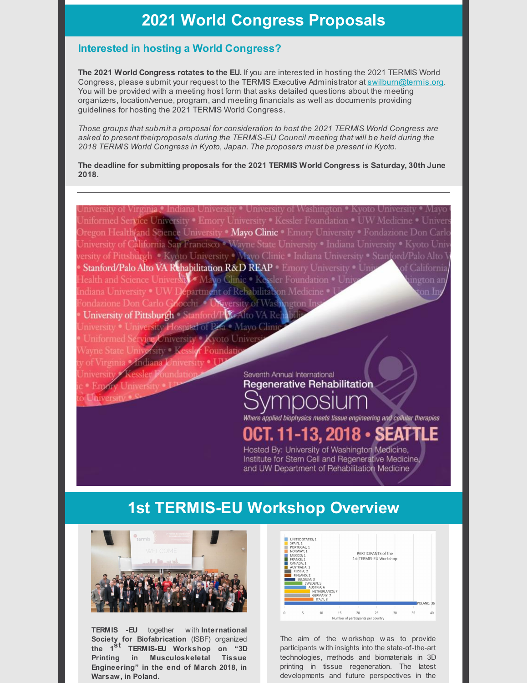### **2021 World Congress Proposals**

### **Interested in hosting a World Congress?**

**The 2021 World Congress rotates to the EU.** If you are interested in hosting the 2021 TERMIS World Congress, please submit your request to the TERMIS Executive Administrator at [swilburn@termis.org.](mailto:swilburn@termis.org) You will be provided with a meeting host form that asks detailed questions about the meeting organizers, location/venue, program, and meeting financials as well as documents providing guidelines for hosting the 2021 TERMIS World Congress.

*Those groups that submit a proposal for consideration to host the 2021 TERMIS World Congress are asked to present theirproposals during the TERMIS-EU Council meeting that will be held during the 2018 TERMIS World Congress in Kyoto, Japan. The proposers must be present in Kyoto.*

**The deadline for submitting proposals for the 2021 TERMIS World Congress is Saturday, 30th June 2018.**

of Virginia. • Indiana University • University of Washington • Kyoto Uni niformed Service University • Emory University • Kessler Foundation • UW Medicine • Univer Dregon Health(and Science University Mayo Clinic Cleary University Condazione Don Carle Jniversity of California San Francisco • Wayne State University • Indiana University • Kyoto Univ ersity of Pittsburgh . Kyoto University . Mayo Clinic . Indiana University . Stanford/Palo Alto Stanford/Palo Alto VA Rehabilitation R&D REAP Emory University . Un Jealth and Science University Mayo Clinic . Kessler Foundation . Uni ndiana University . UW Department of Rehabilitation Medicine ondazione Don Carlo Grocchi **Kiversity of Washington** University of Pittsburgh Stanford/P Z Alto VA Reh ity . University Hospital of Pisa Mayo Clini ervice University. **Kvoto Univer**  $\mathcal{M}$ sity  $\mathbb{R}$ Foundat Seventh Annual International **Regenerative Rehabilitation** Universit

Where applied biophysics meets tissue engineering and cellular therapies

#### **11-13, 2018 •** s

Hosted By: University of Washington Medicine, Institute for Stem Cell and Regenerative Medicine. and UW Department of Rehabilitation Medicine

## **1st TERMIS-EU Workshop Overview**



**TERMIS -EU** together w ith **International Society for Biofabrication** (ISBF) organized **the 1 st TERMIS-EU Workshop on "3D Printing in Musculoskeletal Tissue Engineering" in the end of March 2018, in Warsaw, in Poland.**



The aim of the w orkshop w as to provide participants w ith insights into the state-of-the-art technologies, methods and biomaterials in 3D printing in tissue regeneration. The latest developments and future perspectives in the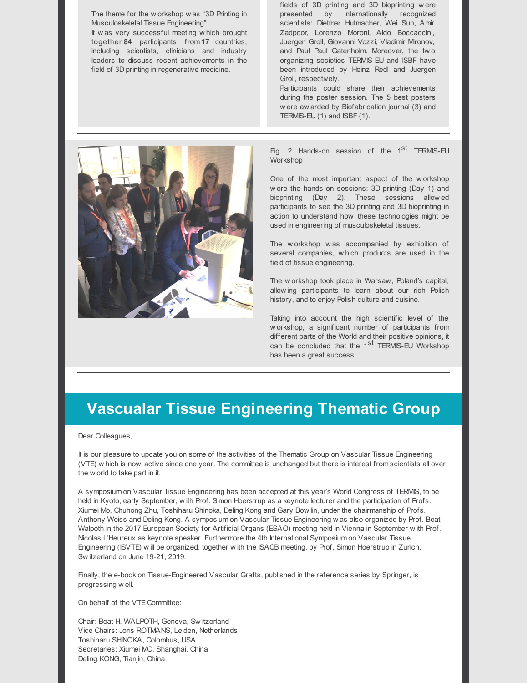The theme for the w orkshop w as "3D Printing in Musculoskeletal Tissue Engineering". It w as very successful meeting w hich brought together **84** participants from **17** countries, including scientists, clinicians and industry leaders to discuss recent achievements in the field of 3D printing in regenerative medicine.

fields of 3D printing and 3D bioprinting w ere presented by internationally recognized scientists: Dietmar Hutmacher, Wei Sun, Amir Zadpoor, Lorenzo Moroni, Aldo Boccaccini, Juergen Groll, Giovanni Vozzi, Vladimir Mironov, and Paul Paul Gatenholm. Moreover, the tw o organizing societies TERMIS-EU and ISBF have been introduced by Heinz Redl and Juergen Groll, respectively.

Participants could share their achievements during the poster session. The 5 best posters w ere aw arded by Biofabrication journal (3) and TERMIS-EU (1) and ISBF (1).



Fig. 2 Hands-on session of the 1<sup>st</sup> TERMIS-EU **Workshop** 

One of the most important aspect of the w orkshop w ere the hands-on sessions: 3D printing (Day 1) and bioprinting (Day 2). These sessions allow ed participants to see the 3D printing and 3D bioprinting in action to understand how these technologies might be used in engineering of musculoskeletal tissues.

The w orkshop w as accompanied by exhibition of several companies, w hich products are used in the field of tissue engineering.

The w orkshop took place in Warsaw, Poland's capital, allow ing participants to learn about our rich Polish history, and to enjoy Polish culture and cuisine.

Taking into account the high scientific level of the w orkshop, a significant number of participants from different parts of the World and their positive opinions, it can be concluded that the  $1<sup>st</sup>$  TERMIS-EU Workshop has been a great success.

### **Vascualar Tissue Engineering Thematic Group**

Dear Colleagues,

It is our pleasure to update you on some of the activities of the Thematic Group on Vascular Tissue Engineering (VTE) w hich is now active since one year. The committee is unchanged but there is interest from scientists all over the w orld to take part in it.

A symposium on Vascular Tissue Engineering has been accepted at this year's World Congress of TERMIS, to be held in Kyoto, early September, w ith Prof. Simon Hoerstrup as a keynote lecturer and the participation of Profs. Xiumei Mo, Chuhong Zhu, Toshiharu Shinoka, Deling Kong and Gary Bow lin, under the chairmanship of Profs. Anthony Weiss and Deling Kong. A symposium on Vascular Tissue Engineering w as also organized by Prof. Beat Walpoth in the 2017 European Society for Artificial Organs (ESAO) meeting held in Vienna in September w ith Prof. Nicolas L'Heureux as keynote speaker. Furthermore the 4th International Symposium on Vascular Tissue Engineering (ISVTE) w ill be organized, together w ith the ISACB meeting, by Prof. Simon Hoerstrup in Zurich, Sw itzerland on June 19-21, 2019.

Finally, the e-book on Tissue-Engineered Vascular Grafts, published in the reference series by Springer, is progressing w ell.

On behalf of the VTE Committee:

Chair: Beat H. WALPOTH, Geneva, Sw itzerland Vice Chairs: Joris ROTMANS, Leiden, Netherlands Toshiharu SHINOKA, Colombus, USA Secretaries: Xiumei MO, Shanghai, China Deling KONG, Tianjin, China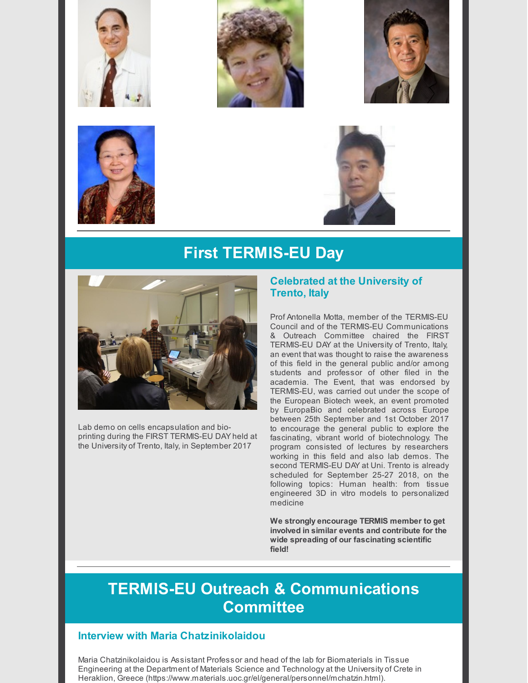









# **First TERMIS-EU Day**



Lab demo on cells encapsulation and bioprinting during the FIRST TERMIS-EU DAY held at the University of Trento, Italy, in September 2017

### **Celebrated at the University of Trento, Italy**

Prof Antonella Motta, member of the TERMIS-EU Council and of the TERMIS-EU Communications & Outreach Committee chaired the FIRST TERMIS-EU DAY at the University of Trento, Italy, an event that was thought to raise the awareness of this field in the general public and/or among students and professor of other filed in the academia. The Event, that was endorsed by TERMIS-EU, was carried out under the scope of the European Biotech week, an event promoted by EuropaBio and celebrated across Europe between 25th September and 1st October 2017 to encourage the general public to explore the fascinating, vibrant world of biotechnology. The program consisted of lectures by researchers working in this field and also lab demos. The second TERMIS-EU DAY at Uni. Trento is already scheduled for September 25-27 2018, on the following topics: Human health: from tissue engineered 3D in vitro models to personalized medicine

**We strongly encourage TERMIS member to get involved in similar events and contribute for the wide spreading of our fascinating scientific field!**

# **TERMIS-EU Outreach & Communications Committee**

### **Interview with Maria Chatzinikolaidou**

Maria Chatzinikolaidou is Assistant Professor and head of the lab for Biomaterials in Tissue Engineering at the Department of Materials Science and Technology at the University of Crete in Heraklion, Greece (https://www.materials.uoc.gr/el/general/personnel/mchatzin.html).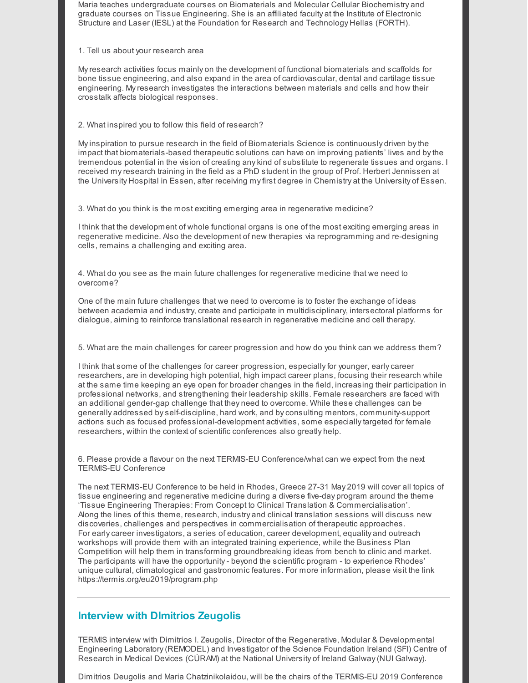Maria teaches undergraduate courses on Biomaterials and Molecular Cellular Biochemistry and graduate courses on Tissue Engineering. She is an affiliated faculty at the Institute of Electronic Structure and Laser (IESL) at the Foundation for Research and Technology Hellas (FORTH).

1. Tell us about your research area

Myresearch activities focus mainly on the development of functional biomaterials and scaffolds for bone tissue engineering, and also expand in the area of cardiovascular, dental and cartilage tissue engineering. Myresearch investigates the interactions between materials and cells and how their crosstalk affects biological responses.

2. What inspired you to follow this field of research?

Myinspiration to pursue research in the field of Biomaterials Science is continuously driven bythe impact that biomaterials-based therapeutic solutions can have on improving patients' lives and bythe tremendous potential in the vision of creating anykind of substitute to regenerate tissues and organs. I received myresearch training in the field as a PhD student in the group of Prof. Herbert Jennissen at the University Hospital in Essen, after receiving myfirst degree in Chemistry at the University of Essen.

3. What do you think is the most exciting emerging area in regenerative medicine?

I think that the development of whole functional organs is one of the most exciting emerging areas in regenerative medicine. Also the development of new therapies via reprogramming and re-designing cells, remains a challenging and exciting area.

4. What do you see as the main future challenges for regenerative medicine that we need to overcome?

One of the main future challenges that we need to overcome is to foster the exchange of ideas between academia and industry, create and participate in multidisciplinary, intersectoral platforms for dialogue, aiming to reinforce translational research in regenerative medicine and cell therapy.

5. What are the main challenges for career progression and how do you think can we address them?

I think that some of the challenges for career progression, especially for younger, early career researchers, are in developing high potential, high impact career plans, focusing their research while at the same time keeping an eye open for broader changes in the field, increasing their participation in professional networks, and strengthening their leadership skills. Female researchers are faced with an additional gender-gap challenge that they need to overcome. While these challenges can be generally addressed byself-discipline, hard work, and byconsulting mentors, community-support actions such as focused professional-development activities, some especiallytargeted for female researchers, within the context of scientific conferences also greatly help.

6. Please provide a flavour on the next TERMIS-EU Conference/what can we expect from the next TERMIS-EU Conference

The next TERMIS-EU Conference to be held in Rhodes, Greece 27-31 May 2019 will cover all topics of tissue engineering and regenerative medicine during a diverse five-day program around the theme 'Tissue Engineering Therapies: From Concept to Clinical Translation & Commercialisation'. Along the lines of this theme, research, industry and clinical translation sessions will discuss new discoveries, challenges and perspectives in commercialisation of therapeutic approaches. For earlycareer investigators, a series of education, career development, equality and outreach workshops will provide them with an integrated training experience, while the Business Plan Competition will help them in transforming groundbreaking ideas from bench to clinic and market. The participants will have the opportunity- beyond the scientific program - to experience Rhodes' unique cultural, climatological and gastronomic features. For more information, please visit the link https://termis.org/eu2019/program.php

### **Interview with DImitrios Zeugolis**

TERMIS interview with Dimitrios I. Zeugolis, Director of the Regenerative, Modular & Developmental Engineering Laboratory(REMODEL) and Investigator of the Science Foundation Ireland (SFI) Centre of Research in Medical Devices (CÚRAM) at the National University of Ireland Galway(NUI Galway).

Dimitrios Deugolis and Maria Chatzinikolaidou, will be the chairs of the TERMIS-EU 2019 Conference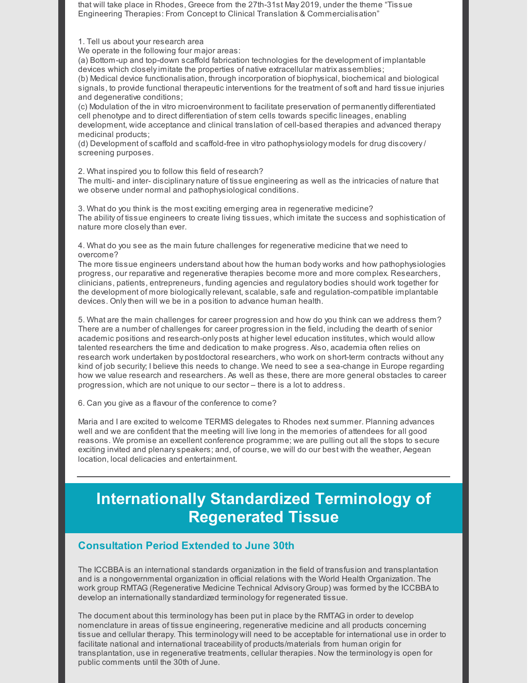that will take place in Rhodes, Greece from the 27th-31st May 2019, under the theme "Tissue Engineering Therapies: From Concept to Clinical Translation & Commercialisation"

1. Tell us about your research area

We operate in the following four major areas:

(a) Bottom-up and top-down scaffold fabrication technologies for the development of implantable devices which closelyimitate the properties of native extracellular matrix assemblies;

(b) Medical device functionalisation, through incorporation of biophysical, biochemical and biological signals, to provide functional therapeutic interventions for the treatment of soft and hard tissue injuries and degenerative conditions;

(c) Modulation of the in vitro microenvironment to facilitate preservation of permanently differentiated cell phenotype and to direct differentiation of stem cells towards specific lineages, enabling development, wide acceptance and clinical translation of cell-based therapies and advanced therapy medicinal products;

(d) Development of scaffold and scaffold-free in vitro pathophysiology models for drug discovery/ screening purposes.

2. What inspired you to follow this field of research?

The multi- and inter- disciplinary nature of tissue engineering as well as the intricacies of nature that we observe under normal and pathophysiological conditions.

3. What do you think is the most exciting emerging area in regenerative medicine? The ability of tissue engineers to create living tissues, which imitate the success and sophistication of nature more closelythan ever.

4. What do you see as the main future challenges for regenerative medicine that we need to overcome?

The more tissue engineers understand about how the human body works and how pathophysiologies progress, our reparative and regenerative therapies become more and more complex. Researchers, clinicians, patients, entrepreneurs, funding agencies and regulatory bodies should work together for the development of more biologicallyrelevant, scalable, safe and regulation-compatible implantable devices. Onlythen will we be in a position to advance human health.

5. What are the main challenges for career progression and how do you think can we address them? There are a number of challenges for career progression in the field, including the dearth of senior academic positions and research-only posts at higher level education institutes, which would allow talented researchers the time and dedication to make progress. Also, academia often relies on research work undertaken by postdoctoral researchers, who work on short-term contracts without any kind of job security; I believe this needs to change. We need to see a sea-change in Europe regarding how we value research and researchers. As well as these, there are more general obstacles to career progression, which are not unique to our sector – there is a lot to address.

6. Can you give as a flavour of the conference to come?

Maria and I are excited to welcome TERMIS delegates to Rhodes next summer. Planning advances well and we are confident that the meeting will live long in the memories of attendees for all good reasons. We promise an excellent conference programme; we are pulling out all the stops to secure exciting invited and plenaryspeakers; and, of course, we will do our best with the weather, Aegean location, local delicacies and entertainment.

# **Internationally Standardized Terminology of Regenerated Tissue**

### **Consultation Period Extended to June 30th**

The ICCBBA is an international standards organization in the field of transfusion and transplantation and is a nongovernmental organization in official relations with the World Health Organization. The work group RMTAG (Regenerative Medicine Technical Advisory Group) was formed bythe ICCBBA to develop an internationallystandardized terminologyfor regenerated tissue.

The document about this terminology has been put in place bythe RMTAG in order to develop nomenclature in areas of tissue engineering, regenerative medicine and all products concerning tissue and cellular therapy. This terminology will need to be acceptable for international use in order to facilitate national and international traceability of products/materials from human origin for transplantation, use in regenerative treatments, cellular therapies. Now the terminologyis open for public comments until the 30th of June.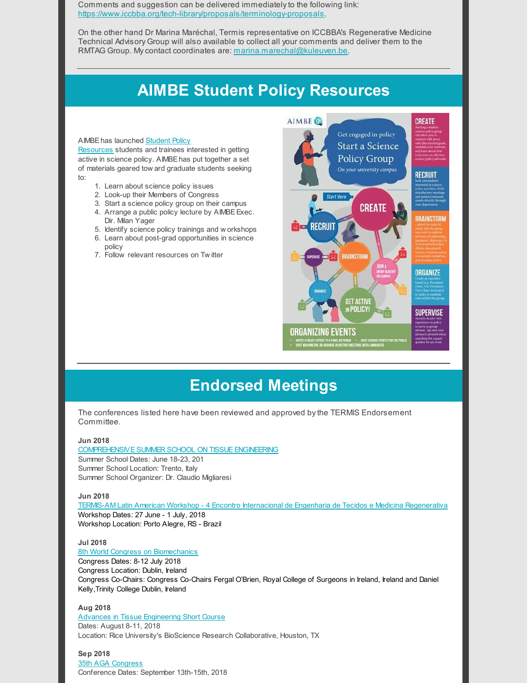Comments and suggestion can be delivered immediatelyto the following link: <https://www.iccbba.org/tech-library/proposals/terminology-proposals>.

On the other hand Dr Marina Maréchal, Termis representative on ICCBBA's Regenerative Medicine Technical Advisory Group will also available to collect all your comments and deliver them to the RMTAG Group. My contact coordinates are: [marina.marechal@kuleuven.be](mailto:marina.marechal@kuleuven.be).

# **AIMBE Student Policy Resources**

#### [AIMBEhas](http://aimbe.org/student-policy-resources/) launched Student Policy

Resources students and trainees interested in getting active in science policy. AIMBEhas put together a set of materials geared tow ard graduate students seeking to:

- 1. Learn about science policy issues
- 2. Look-up their Members of Congress
- 3. Start a science policy group on their campus
- 4. Arrange a public policy lecture by AIMBE Exec. Dir. Milan Yager
- 5. Identify science policy trainings and w orkshops
- 6. Learn about post-grad opportunities in science
- policy
- 7. Follow relevant resources on Tw itter



### **Endorsed Meetings**

The conferences listed here have been reviewed and approved bythe TERMIS Endorsement Committee.

#### **Jun 2018**

COMPREHENSIVE SUMMER SCHOOL ON TISSUE ENGINEERING Summer School Dates: June 18-23, 201 Summer School Location: Trento, Italy Summer School Organizer: Dr. Claudio Migliaresi

#### **Jun 2018**

TERMIS-AM Latin American Workshop - 4 Encontro Internacional de Engenharia de Tecidos e Medicina [Regenerativa](http://termisamerica2018.com.br/) Workshop Dates: 27 June - 1 July, 2018 Workshop Location: Porto Alegre, RS - Brazil

#### **Jul 2018**

#### 8th World Congress on [Biomechanics](http://wcb2018.com/)

Congress Dates: 8-12 July 2018 Congress Location: Dublin, Ireland Congress Co-Chairs: Congress Co-Chairs Fergal O'Brien, Royal College of Surgeons in Ireland, Ireland and Daniel Kelly,Trinity College Dublin, Ireland

#### **Aug 2018**

Advances in Tissue [Engineering](http://tissue.rice.edu/) Short Course Dates: August 8-11, 2018 Location: Rice University's BioScience Research Collaborative, Houston, TX

#### **Sep 2018**

35th AGA [Congress](http://aga-kongress.info/en/) Conference Dates: September 13th-15th, 2018